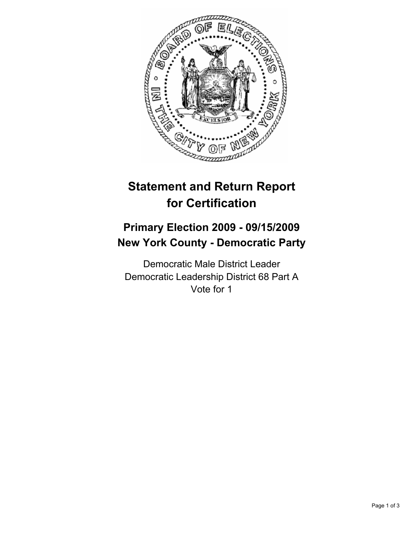

# **Statement and Return Report for Certification**

## **Primary Election 2009 - 09/15/2009 New York County - Democratic Party**

Democratic Male District Leader Democratic Leadership District 68 Part A Vote for 1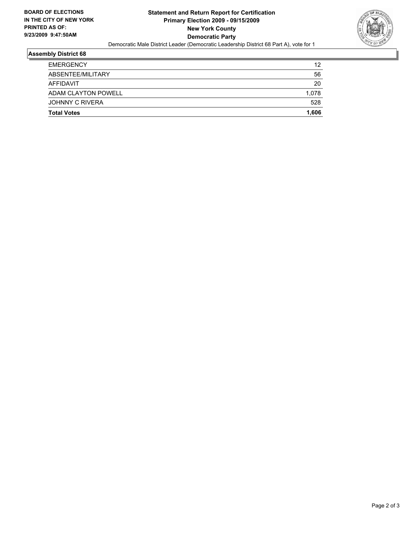

#### **Assembly District 68**

| <b>Total Votes</b>     | 1.606 |
|------------------------|-------|
| <b>JOHNNY C RIVERA</b> | 528   |
| ADAM CLAYTON POWELL    | 1.078 |
| AFFIDAVIT              | 20    |
| ABSENTEE/MILITARY      | 56    |
| <b>EMERGENCY</b>       | 12    |